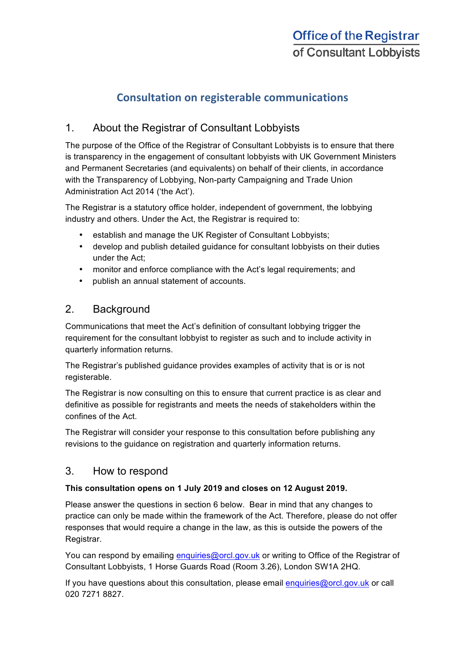# **Consultation on registerable communications**

## 1. About the Registrar of Consultant Lobbyists

The purpose of the Office of the Registrar of Consultant Lobbyists is to ensure that there is transparency in the engagement of consultant lobbyists with UK Government Ministers and Permanent Secretaries (and equivalents) on behalf of their clients, in accordance with the Transparency of Lobbying, Non-party Campaigning and Trade Union Administration Act 2014 ('the Act').

The Registrar is a statutory office holder, independent of government, the lobbying industry and others. Under the Act, the Registrar is required to:

- establish and manage the UK Register of Consultant Lobbyists;
- develop and publish detailed guidance for consultant lobbyists on their duties under the Act;
- monitor and enforce compliance with the Act's legal requirements; and
- publish an annual statement of accounts.

### 2. Background

Communications that meet the Act's definition of consultant lobbying trigger the requirement for the consultant lobbyist to register as such and to include activity in quarterly information returns.

The Registrar's published guidance provides examples of activity that is or is not registerable.

The Registrar is now consulting on this to ensure that current practice is as clear and definitive as possible for registrants and meets the needs of stakeholders within the confines of the Act.

The Registrar will consider your response to this consultation before publishing any revisions to the guidance on registration and quarterly information returns.

#### 3. How to respond

#### **This consultation opens on 1 July 2019 and closes on 12 August 2019.**

Please answer the questions in section 6 below. Bear in mind that any changes to practice can only be made within the framework of the Act. Therefore, please do not offer responses that would require a change in the law, as this is outside the powers of the Registrar.

You can respond by emailing enquiries@orcl.gov.uk or writing to Office of the Registrar of Consultant Lobbyists, 1 Horse Guards Road (Room 3.26), London SW1A 2HQ.

If you have questions about this consultation, please email enquiries@orcl.gov.uk or call 020 7271 8827.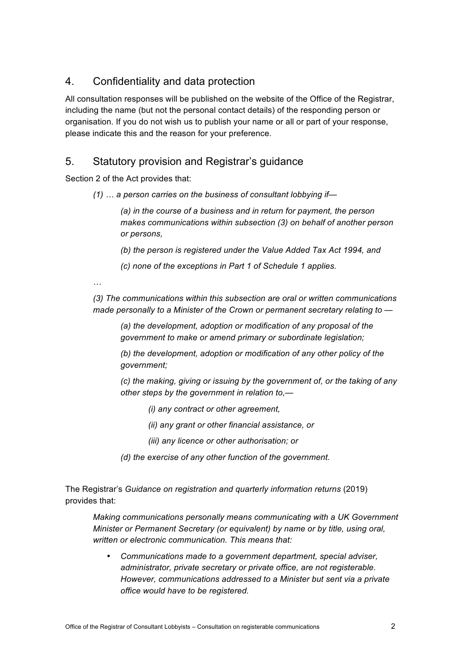### 4. Confidentiality and data protection

All consultation responses will be published on the website of the Office of the Registrar, including the name (but not the personal contact details) of the responding person or organisation. If you do not wish us to publish your name or all or part of your response, please indicate this and the reason for your preference.

#### 5. Statutory provision and Registrar's guidance

Section 2 of the Act provides that:

*(1) … a person carries on the business of consultant lobbying if—*

*(a) in the course of a business and in return for payment, the person makes communications within subsection (3) on behalf of another person or persons,*

*(b) the person is registered under the Value Added Tax Act 1994, and*

*(c) none of the exceptions in Part 1 of Schedule 1 applies.*

*…*

*(3) The communications within this subsection are oral or written communications made personally to a Minister of the Crown or permanent secretary relating to —*

*(a) the development, adoption or modification of any proposal of the government to make or amend primary or subordinate legislation;*

*(b) the development, adoption or modification of any other policy of the government;*

*(c) the making, giving or issuing by the government of, or the taking of any other steps by the government in relation to,—*

- *(i) any contract or other agreement,*
- *(ii) any grant or other financial assistance, or*
- *(iii) any licence or other authorisation; or*
- *(d) the exercise of any other function of the government.*

The Registrar's *Guidance on registration and quarterly information returns* (2019) provides that:

*Making communications personally means communicating with a UK Government Minister or Permanent Secretary (or equivalent) by name or by title, using oral, written or electronic communication. This means that:*

• *Communications made to a government department, special adviser, administrator, private secretary or private office, are not registerable. However, communications addressed to a Minister but sent via a private office would have to be registered.*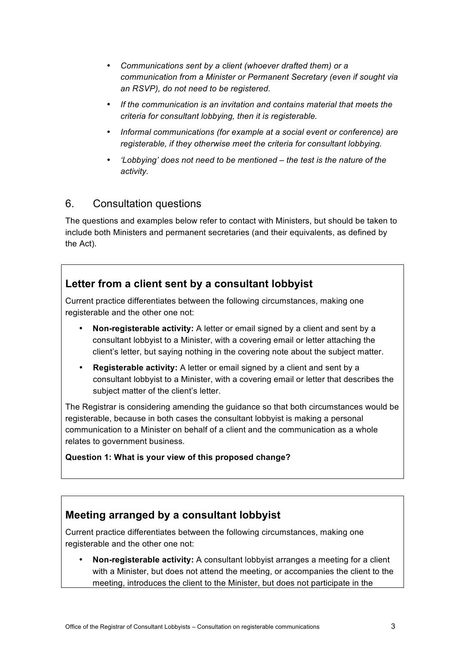- *Communications sent by a client (whoever drafted them) or a communication from a Minister or Permanent Secretary (even if sought via an RSVP), do not need to be registered.*
- *If the communication is an invitation and contains material that meets the criteria for consultant lobbying, then it is registerable.*
- *Informal communications (for example at a social event or conference) are registerable, if they otherwise meet the criteria for consultant lobbying.*
- *'Lobbying' does not need to be mentioned – the test is the nature of the activity.*

### 6. Consultation questions

The questions and examples below refer to contact with Ministers, but should be taken to include both Ministers and permanent secretaries (and their equivalents, as defined by the Act).

### **Letter from a client sent by a consultant lobbyist**

Current practice differentiates between the following circumstances, making one registerable and the other one not:

- **Non-registerable activity:** A letter or email signed by a client and sent by a consultant lobbyist to a Minister, with a covering email or letter attaching the client's letter, but saying nothing in the covering note about the subject matter.
- **Registerable activity:** A letter or email signed by a client and sent by a consultant lobbyist to a Minister, with a covering email or letter that describes the subject matter of the client's letter.

The Registrar is considering amending the guidance so that both circumstances would be registerable, because in both cases the consultant lobbyist is making a personal communication to a Minister on behalf of a client and the communication as a whole relates to government business.

#### **Question 1: What is your view of this proposed change?**

# **Meeting arranged by a consultant lobbyist**

Current practice differentiates between the following circumstances, making one registerable and the other one not:

• **Non-registerable activity:** A consultant lobbyist arranges a meeting for a client with a Minister, but does not attend the meeting, or accompanies the client to the meeting, introduces the client to the Minister, but does not participate in the